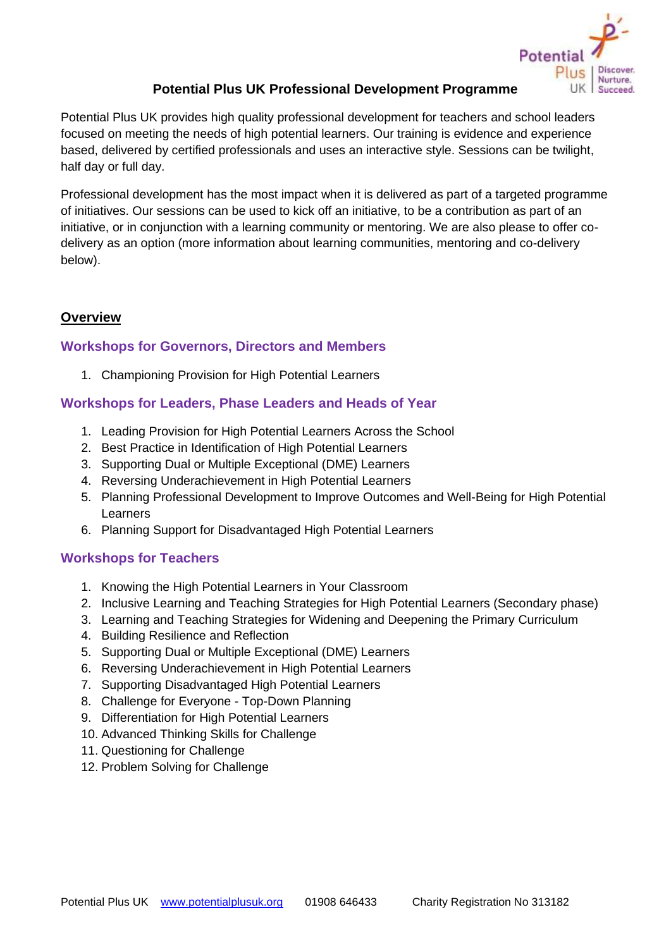

# **Potential Plus UK Professional Development Programme**

Potential Plus UK provides high quality professional development for teachers and school leaders focused on meeting the needs of high potential learners. Our training is evidence and experience based, delivered by certified professionals and uses an interactive style. Sessions can be twilight, half day or full day.

Professional development has the most impact when it is delivered as part of a targeted programme of initiatives. Our sessions can be used to kick off an initiative, to be a contribution as part of an initiative, or in conjunction with a learning community or mentoring. We are also please to offer codelivery as an option (more information about learning communities, mentoring and co-delivery below).

## **Overview**

## **Workshops for Governors, Directors and Members**

1. Championing Provision for High Potential Learners

## **Workshops for Leaders, Phase Leaders and Heads of Year**

- 1. Leading Provision for High Potential Learners Across the School
- 2. Best Practice in Identification of High Potential Learners
- 3. Supporting Dual or Multiple Exceptional (DME) Learners
- 4. Reversing Underachievement in High Potential Learners
- 5. Planning Professional Development to Improve Outcomes and Well-Being for High Potential Learners
- 6. Planning Support for Disadvantaged High Potential Learners

## **Workshops for Teachers**

- 1. Knowing the High Potential Learners in Your Classroom
- 2. Inclusive Learning and Teaching Strategies for High Potential Learners (Secondary phase)
- 3. Learning and Teaching Strategies for Widening and Deepening the Primary Curriculum
- 4. Building Resilience and Reflection
- 5. Supporting Dual or Multiple Exceptional (DME) Learners
- 6. Reversing Underachievement in High Potential Learners
- 7. Supporting Disadvantaged High Potential Learners
- 8. Challenge for Everyone Top-Down Planning
- 9. Differentiation for High Potential Learners
- 10. Advanced Thinking Skills for Challenge
- 11. Questioning for Challenge
- 12. Problem Solving for Challenge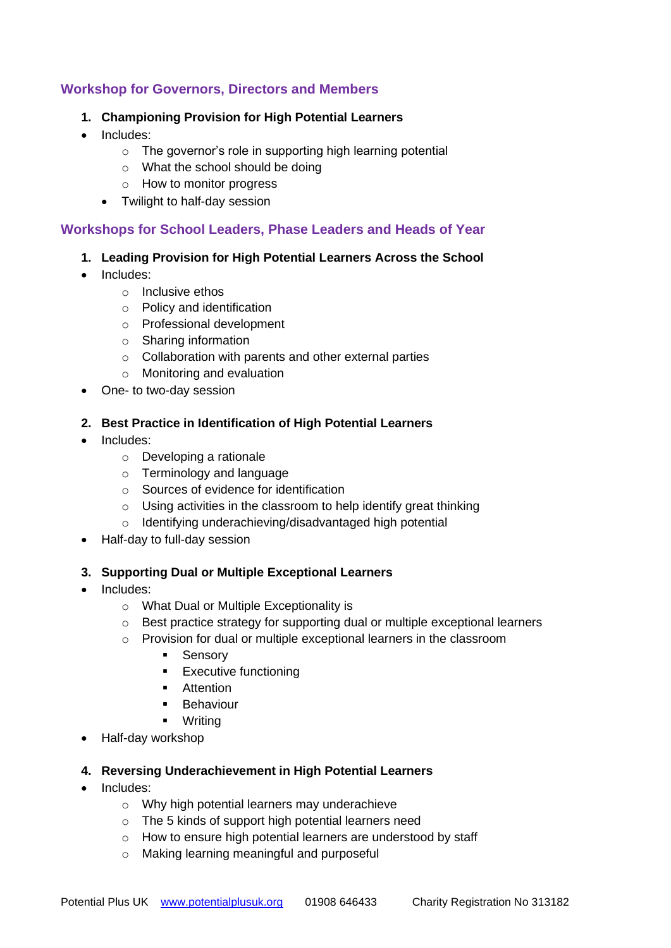## **Workshop for Governors, Directors and Members**

#### **1. Championing Provision for High Potential Learners**

- Includes:
	- $\circ$  The governor's role in supporting high learning potential
	- o What the school should be doing
	- o How to monitor progress
	- Twilight to half-day session

#### **Workshops for School Leaders, Phase Leaders and Heads of Year**

- **1. Leading Provision for High Potential Learners Across the School**
- Includes:
	- o Inclusive ethos
	- o Policy and identification
	- o Professional development
	- o Sharing information
	- o Collaboration with parents and other external parties
	- o Monitoring and evaluation
- One- to two-day session

#### **2. Best Practice in Identification of High Potential Learners**

- Includes:
	- o Developing a rationale
	- o Terminology and language
	- o Sources of evidence for identification
	- o Using activities in the classroom to help identify great thinking
	- o Identifying underachieving/disadvantaged high potential
- Half-day to full-day session

#### **3. Supporting Dual or Multiple Exceptional Learners**

- Includes:
	- o What Dual or Multiple Exceptionality is
	- o Best practice strategy for supporting dual or multiple exceptional learners
	- o Provision for dual or multiple exceptional learners in the classroom
		- Sensory
		- Executive functioning
		- Attention
		- **■** Behaviour
		- Writing
- Half-day workshop

#### **4. Reversing Underachievement in High Potential Learners**

- Includes:
	- o Why high potential learners may underachieve
	- o The 5 kinds of support high potential learners need
	- o How to ensure high potential learners are understood by staff
	- o Making learning meaningful and purposeful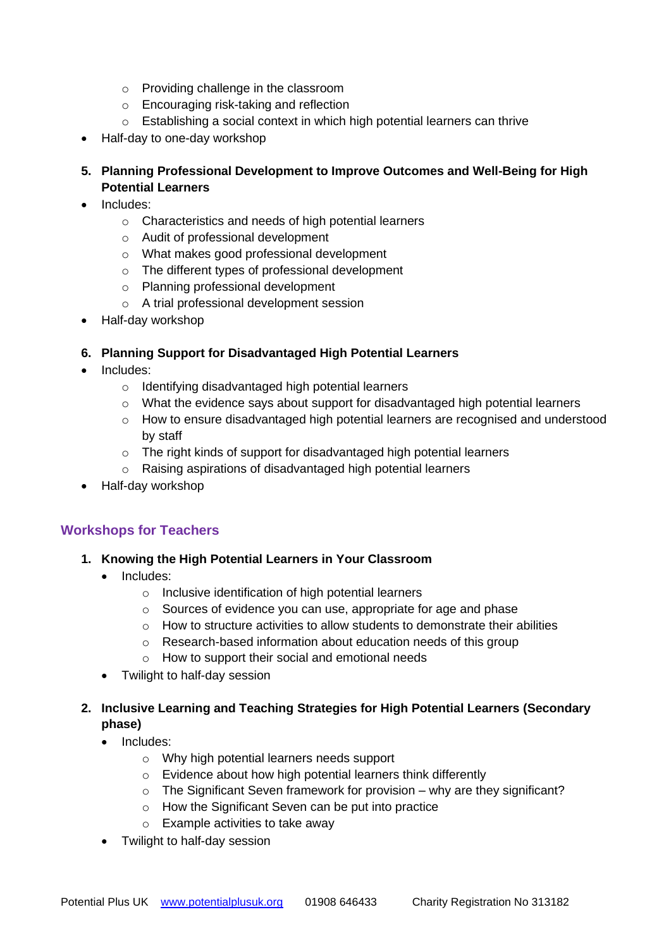- o Providing challenge in the classroom
- o Encouraging risk-taking and reflection
- o Establishing a social context in which high potential learners can thrive
- Half-day to one-day workshop
- **5. Planning Professional Development to Improve Outcomes and Well-Being for High Potential Learners**
- Includes:
	- o Characteristics and needs of high potential learners
	- o Audit of professional development
	- o What makes good professional development
	- o The different types of professional development
	- o Planning professional development
	- o A trial professional development session
- Half-day workshop

#### **6. Planning Support for Disadvantaged High Potential Learners**

- Includes:
	- o Identifying disadvantaged high potential learners
	- $\circ$  What the evidence says about support for disadvantaged high potential learners
	- $\circ$  How to ensure disadvantaged high potential learners are recognised and understood by staff
	- o The right kinds of support for disadvantaged high potential learners
	- o Raising aspirations of disadvantaged high potential learners
- Half-day workshop

## **Workshops for Teachers**

- **1. Knowing the High Potential Learners in Your Classroom**
	- Includes:
		- o Inclusive identification of high potential learners
		- o Sources of evidence you can use, appropriate for age and phase
		- $\circ$  How to structure activities to allow students to demonstrate their abilities
		- o Research-based information about education needs of this group
		- o How to support their social and emotional needs
	- Twilight to half-day session
- **2. Inclusive Learning and Teaching Strategies for High Potential Learners (Secondary phase)**
	- Includes:
		- o Why high potential learners needs support
		- o Evidence about how high potential learners think differently
		- o The Significant Seven framework for provision why are they significant?
		- o How the Significant Seven can be put into practice
		- o Example activities to take away
	- Twilight to half-day session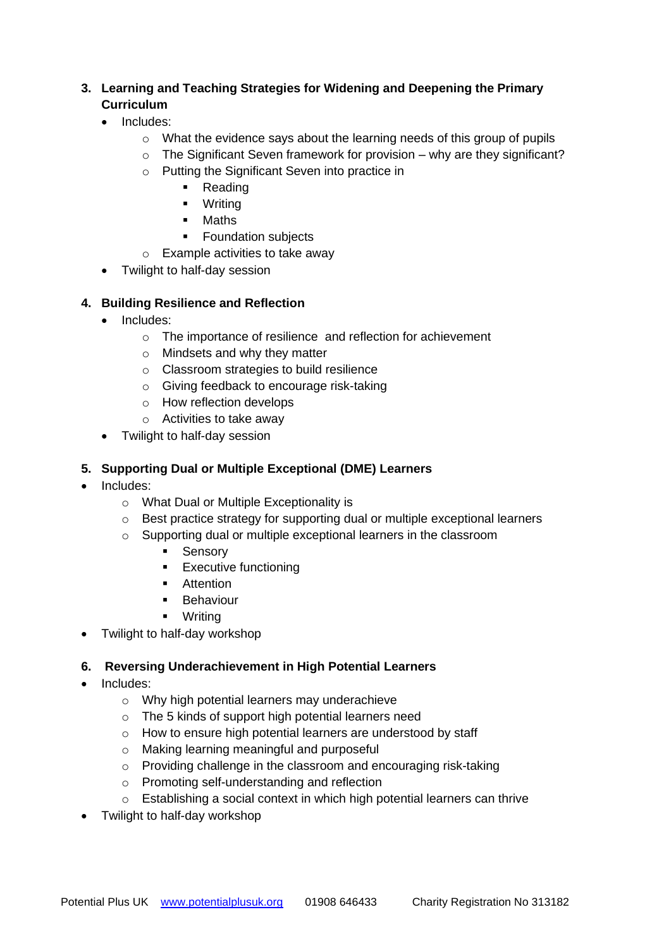## **3. Learning and Teaching Strategies for Widening and Deepening the Primary Curriculum**

- Includes:
	- $\circ$  What the evidence says about the learning needs of this group of pupils
	- $\circ$  The Significant Seven framework for provision why are they significant?
	- o Putting the Significant Seven into practice in
		- Reading
		- Writing
		- Maths
		- Foundation subjects
	- o Example activities to take away
- Twilight to half-day session

## **4. Building Resilience and Reflection**

- Includes:
	- o The importance of resilience and reflection for achievement
	- o Mindsets and why they matter
	- o Classroom strategies to build resilience
	- o Giving feedback to encourage risk-taking
	- o How reflection develops
	- o Activities to take away
- Twilight to half-day session

## **5. Supporting Dual or Multiple Exceptional (DME) Learners**

- Includes:
	- o What Dual or Multiple Exceptionality is
	- o Best practice strategy for supporting dual or multiple exceptional learners
	- o Supporting dual or multiple exceptional learners in the classroom
		- **■** Sensory
		- Executive functioning
		- Attention
		- **■** Behaviour
		- Writing
- Twilight to half-day workshop

## **6. Reversing Underachievement in High Potential Learners**

- Includes:
	- o Why high potential learners may underachieve
	- o The 5 kinds of support high potential learners need
	- o How to ensure high potential learners are understood by staff
	- o Making learning meaningful and purposeful
	- o Providing challenge in the classroom and encouraging risk-taking
	- o Promoting self-understanding and reflection
	- o Establishing a social context in which high potential learners can thrive
- Twilight to half-day workshop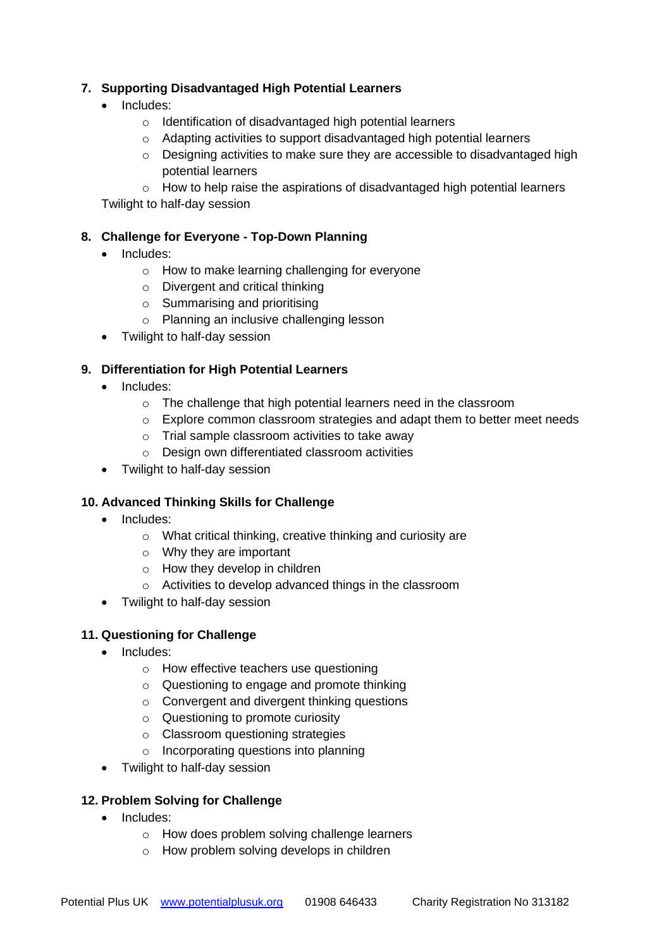## **7. Supporting Disadvantaged High Potential Learners**

- Includes:
	- o Identification of disadvantaged high potential learners
	- $\circ$  Adapting activities to support disadvantaged high potential learners
	- $\circ$  Designing activities to make sure they are accessible to disadvantaged high potential learners

 $\circ$  How to help raise the aspirations of disadvantaged high potential learners Twilight to half-day session

## **8. Challenge for Everyone - Top-Down Planning**

- Includes:
	- o How to make learning challenging for everyone
	- o Divergent and critical thinking
	- o Summarising and prioritising
	- o Planning an inclusive challenging lesson
- Twilight to half-day session

## **9. Differentiation for High Potential Learners**

- Includes:
	- o The challenge that high potential learners need in the classroom
	- $\circ$  Explore common classroom strategies and adapt them to better meet needs
	- o Trial sample classroom activities to take away
	- o Design own differentiated classroom activities
- Twilight to half-day session

## **10. Advanced Thinking Skills for Challenge**

- Includes:
	- o What critical thinking, creative thinking and curiosity are
	- o Why they are important
	- o How they develop in children
	- o Activities to develop advanced things in the classroom
- Twilight to half-day session

## **11. Questioning for Challenge**

- Includes:
	- o How effective teachers use questioning
	- o Questioning to engage and promote thinking
	- o Convergent and divergent thinking questions
	- o Questioning to promote curiosity
	- o Classroom questioning strategies
	- o Incorporating questions into planning
- Twilight to half-day session

## **12. Problem Solving for Challenge**

- Includes:
	- o How does problem solving challenge learners
	- o How problem solving develops in children